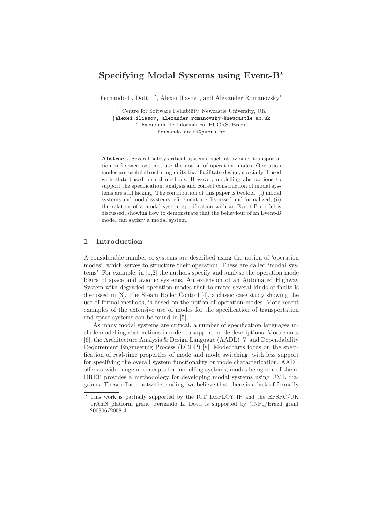# Specifying Modal Systems using Event- $B^*$

Fernando L. Dotti<sup>1,2</sup>, Alexei Iliasov<sup>1</sup>, and Alexander Romanovsky<sup>1</sup>

<sup>1</sup> Centre for Software Reliability, Newcastle University, UK {alexei.iliasov, alexander.romanovsky}@newcastle.ac.uk  $^2\,$  Faculdade de Informática, PUCRS, Brazil fernando.dotti@pucrs.br

Abstract. Several safety-critical systems, such as avionic, transportation and space systems, use the notion of operation modes. Operation modes are useful structuring units that facilitate design, specially if used with state-based formal methods. However, modelling abstractions to support the specification, analysis and correct construction of modal systems are still lacking. The contribution of this paper is twofold: (i) modal systems and modal systems refinement are discussed and formalized; (ii) the relation of a modal system specification with an Event-B model is discussed, showing how to demonstrate that the behaviour of an Event-B model can satisfy a modal system.

# 1 Introduction

A considerable number of systems are described using the notion of 'operation modes', which serves to structure their operation. These are called 'modal systems'. For example, in [1,2] the authors specify and analyse the operation mode logics of space and avionic systems. An extension of an Automated Highway System with degraded operation modes that tolerates several kinds of faults is discussed in [3]. The Steam Boiler Control [4], a classic case study showing the use of formal methods, is based on the notion of operation modes. More recent examples of the extensive use of modes for the specification of transportation and space systems can be found in [5].

As many modal systems are critical, a number of specification languages include modelling abstractions in order to support mode descriptions: Modecharts [6], the Architecture Analysis & Design Language (AADL) [7] and Dependability Requirement Engineering Process (DREP) [8]. Modecharts focus on the specification of real-time properties of mode and mode switching, with less support for specifying the overall system functionality or mode characterization. AADL offers a wide range of concepts for modelling systems, modes being one of them. DREP provides a methodology for developing modal systems using UML diagrams. These efforts notwithstanding, we believe that there is a lack of formally

<sup>⋆</sup> This work is partially supported by the ICT DEPLOY IP and the EPSRC/UK TrAmS platform grant. Fernando L. Dotti is supported by CNPq/Brazil grant 200806/2008-4.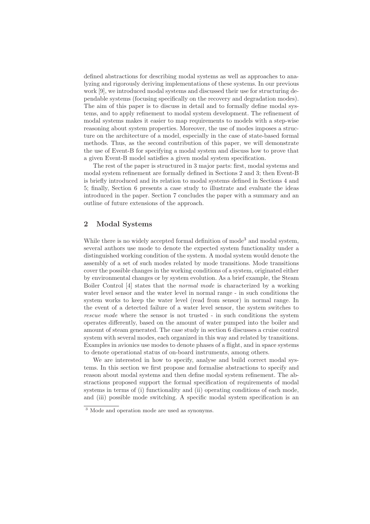defined abstractions for describing modal systems as well as approaches to analyzing and rigorously deriving implementations of these systems. In our previous work [9], we introduced modal systems and discussed their use for structuring dependable systems (focusing specifically on the recovery and degradation modes). The aim of this paper is to discuss in detail and to formally define modal systems, and to apply refinement to modal system development. The refinement of modal systems makes it easier to map requirements to models with a step-wise reasoning about system properties. Moreover, the use of modes imposes a structure on the architecture of a model, especially in the case of state-based formal methods. Thus, as the second contribution of this paper, we will demonstrate the use of Event-B for specifying a modal system and discuss how to prove that a given Event-B model satisfies a given modal system specification.

The rest of the paper is structured in 3 major parts: first, modal systems and modal system refinement are formally defined in Sections 2 and 3; then Event-B is briefly introduced and its relation to modal systems defined in Sections 4 and 5; finally, Section 6 presents a case study to illustrate and evaluate the ideas introduced in the paper. Section 7 concludes the paper with a summary and an outline of future extensions of the approach.

# 2 Modal Systems

While there is no widely accepted formal definition of mode<sup>3</sup> and modal system, several authors use mode to denote the expected system functionality under a distinguished working condition of the system. A modal system would denote the assembly of a set of such modes related by mode transitions. Mode transitions cover the possible changes in the working conditions of a system, originated either by environmental changes or by system evolution. As a brief example, the Steam Boiler Control [4] states that the normal mode is characterized by a working water level sensor and the water level in normal range - in such conditions the system works to keep the water level (read from sensor) in normal range. In the event of a detected failure of a water level sensor, the system switches to rescue mode where the sensor is not trusted - in such conditions the system operates differently, based on the amount of water pumped into the boiler and amount of steam generated. The case study in section 6 discusses a cruise control system with several modes, each organized in this way and related by transitions. Examples in avionics use modes to denote phases of a flight, and in space systems to denote operational status of on-board instruments, among others.

We are interested in how to specify, analyse and build correct modal systems. In this section we first propose and formalise abstractions to specify and reason about modal systems and then define modal system refinement. The abstractions proposed support the formal specification of requirements of modal systems in terms of (i) functionality and (ii) operating conditions of each mode, and (iii) possible mode switching. A specific modal system specification is an

<sup>3</sup> Mode and operation mode are used as synonyms.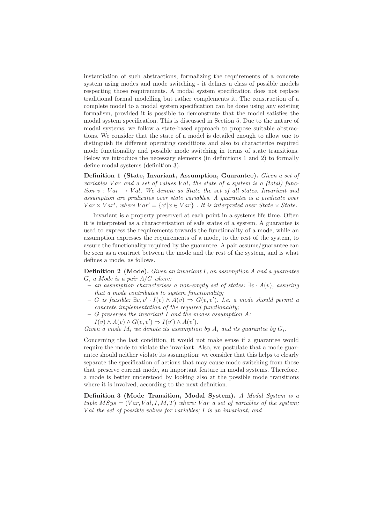instantiation of such abstractions, formalizing the requirements of a concrete system using modes and mode switching - it defines a class of possible models respecting those requirements. A modal system specification does not replace traditional formal modelling but rather complements it. The construction of a complete model to a modal system specification can be done using any existing formalism, provided it is possible to demonstrate that the model satisfies the modal system specification. This is discussed in Section 5. Due to the nature of modal systems, we follow a state-based approach to propose suitable abstractions. We consider that the state of a model is detailed enough to allow one to distinguish its different operating conditions and also to characterize required mode functionality and possible mode switching in terms of state transitions. Below we introduce the necessary elements (in definitions 1 and 2) to formally define modal systems (definition 3).

Definition 1 (State, Invariant, Assumption, Guarantee). Given a set of variables V ar and a set of values V al, the state of a system is a (total) function  $v: Var \rightarrow Val$ . We denote as State the set of all states. Invariant and assumption are predicates over state variables. A guarantee is a predicate over  $Var \times Var'$ , where  $Var' = \{x' | x \in Var\}$ . It is interpreted over State  $\times State$ .

Invariant is a property preserved at each point in a systems life time. Often it is interpreted as a characterisation of safe states of a system. A guarantee is used to express the requirements towards the functionality of a mode, while an assumption expresses the requirements of a mode, to the rest of the system, to assure the functionality required by the guarantee. A pair assume/guarantee can be seen as a contract between the mode and the rest of the system, and is what defines a mode, as follows.

**Definition 2** (Mode). Given an invariant  $I$ , an assumption  $A$  and a guarantee  $G$ , a Mode is a pair  $A/G$  where:

- an assumption characterises a non-empty set of states: ∃v · A(v), assuring that a mode contributes to system functionality;
- $G$  is feasible:  $\exists v, v' \cdot I(v) \land A(v) \Rightarrow G(v, v')$ . I.e. a mode should permit a concrete implementation of the required functionality;
- $-$  G preserves the invariant I and the modes assumption A:
- $I(v) \wedge A(v) \wedge G(v, v') \Rightarrow I(v') \wedge A(v').$

Given a mode  $M_i$  we denote its assumption by  $A_i$  and its guarantee by  $G_i$ .

Concerning the last condition, it would not make sense if a guarantee would require the mode to violate the invariant. Also, we postulate that a mode guarantee should neither violate its assumption: we consider that this helps to clearly separate the specification of actions that may cause mode switching from those that preserve current mode, an important feature in modal systems. Therefore, a mode is better understood by looking also at the possible mode transitions where it is involved, according to the next definition.

Definition 3 (Mode Transition, Modal System). A Modal System is a tuple  $MSys = (Var, Val, I, M, T)$  where: Var a set of variables of the system; Val the set of possible values for variables;  $I$  is an invariant; and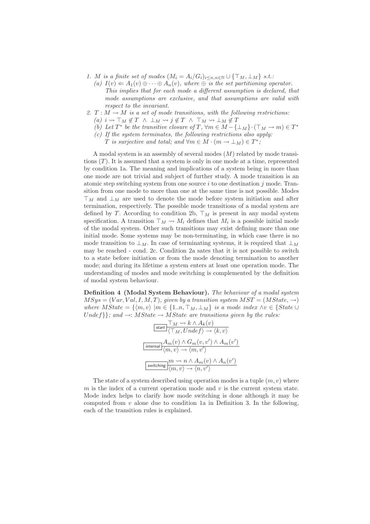- 1. M is a finite set of modes  $(M_i = A_i/G_i)_{i \leq n, n \in \mathbb{N}} \cup {\{\top_M, \bot_M\}}$  s.t.:
	- (a)  $I(v) \Leftarrow A_1(v) \oplus \cdots \oplus A_n(v)$ , where  $\oplus$  is the set partitioning operator. This implies that for each mode a different assumption is declared, that mode assumptions are exclusive, and that assumptions are valid with respect to the invariant.
- 2.  $T : M \to M$  is a set of mode transitions, with the following restrictions:
	- (a)  $i \rightsquigarrow \top_M \notin T \land \bot_M \rightsquigarrow j \notin T \land \top_M \rightsquigarrow \bot_M \notin T$
	- (b) Let  $T^*$  be the transitive closure of  $T$ ,  $\forall m \in M \{\perp_M\} \cdot (\top_M \to m) \in T^*$
	- $(c)$  If the system terminates, the following restrictions also apply:
		- T is surjective and total; and  $\forall m \in M \cdot (m \to \bot_M) \in T^*$ ;

A modal system is an assembly of several modes (M) related by mode transitions  $(T)$ . It is assumed that a system is only in one mode at a time, represented by condition 1a. The meaning and implications of a system being in more than one mode are not trivial and subject of further study. A mode transition is an atomic step switching system from one source  $i$  to one destination  $j$  mode. Transition from one mode to more than one at the same time is not possible. Modes  $\top_M$  and  $\bot_M$  are used to denote the mode before system initiation and after termination, respectively. The possible mode transitions of a modal system are defined by T. According to condition 2b,  $\top_M$  is present in any modal system specification. A transition  $\top_M \leadsto M_i$  defines that  $M_i$  is a possible initial mode of the modal system. Other such transitions may exist defining more than one initial mode. Some systems may be non-terminating, in which case there is no mode transition to  $\perp_M$ . In case of terminating systems, it is required that  $\perp_M$ may be reached - cond. 2c. Condition 2a sates that it is not possible to switch to a state before initiation or from the mode denoting termination to another mode; and during its lifetime a system enters at least one operation mode. The understanding of modes and mode switching is complemented by the definition of modal system behaviour.

Definition 4 (Modal System Behaviour). The behaviour of a modal system  $MSys = (Var, Val, I, M, T),$  given by a transition system  $MST = (MState, \rightarrow)$ where  $MState = \{\langle m,v \rangle | m \in \{1..n, \top_M, \bot_M\} \text{ is a mode index } \land v \in \{State \cup$ Undef $\};$  and  $\rightarrow$ : MState  $\rightarrow$  MState are transitions given by the rules:

$$
\frac{\text{Start}}{\text{Start}} \frac{\text{T}_M \rightsquigarrow k \land A_k(v)}{\text{T}_M, Under} \rangle \rightarrow \langle k, v \rangle
$$
\n
$$
\frac{A_m(v) \land G_m(v, v') \land A_m(v')}{\langle m, v \rangle \rightarrow \langle m, v' \rangle}
$$
\n
$$
\frac{m \leadsto n \land A_m(v) \land A_n(v')}{\langle m, v \rangle \rightarrow \langle n, v' \rangle}
$$

The state of a system described using operation modes is a tuple  $(m, v)$  where  $m$  is the index of a current operation mode and  $v$  is the current system state. Mode index helps to clarify how mode switching is done although it may be computed from  $v$  alone due to condition 1a in Definition 3. In the following, each of the transition rules is explained.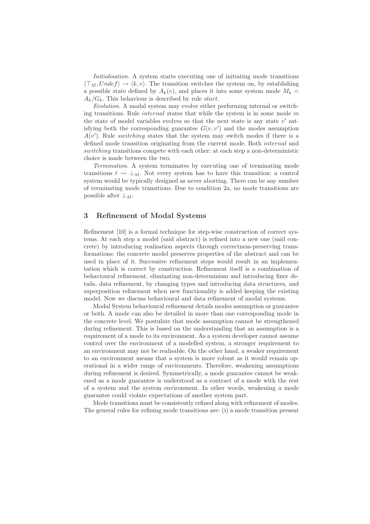Initialisation. A system starts executing one of initiating mode transitions  $\langle \top_M, Undef \rangle \rightarrow \langle k,v \rangle$ . The transition switches the system on, by establishing a possible state defined by  $A_k(v)$ , and places it into some system mode  $M_k =$  $A_k/G_k$ . This behaviour is described by rule start.

Evolution. A modal system may evolve either performing internal or switching transitions. Rule *internal* states that while the system is in some mode  $m$ the state of model variables evolves so that the next state is any state  $v'$  satisfying both the corresponding guarantee  $G(v, v')$  and the modes assumption  $A(v')$ . Rule switching states that the system may switch modes if there is a defined mode transition originating from the current mode. Both internal and switching transitions compete with each other: at each step a non-deterministic choice is made between the two.

Termination. A system terminates by executing one of terminating mode transitions  $t \rightsquigarrow \perp_M$ . Not every system has to have this transition: a control system would be typically designed as never aborting. There can be any number of terminating mode transitions. Due to condition 2a, no mode transitions are possible after  $\perp_M$ .

### 3 Refinement of Modal Systems

Refinement [10] is a formal technique for step-wise construction of correct systems. At each step a model (said abstract) is refined into a new one (said concrete) by introducing realisation aspects through correctness-preserving transformations: the concrete model preserves properties of the abstract and can be used in place of it. Successive refinement steps would result in an implementation which is correct by construction. Refinement itself is a combination of behavioural refinement, eliminating non-determinism and introducing finer details, data refinement, by changing types and introducing data structures, and superposition refinement when new functionality is added keeping the existing model. Now we discuss behavioural and data refinement of modal systems.

Modal System behavioural refinement details modes assumption or guarantee or both. A mode can also be detailed in more than one corresponding mode in the concrete level. We postulate that mode assumption cannot be strengthened during refinement. This is based on the understanding that an assumption is a requirement of a mode to its environment. As a system developer cannot assume control over the environment of a modelled system, a stronger requirement to an environment may not be realisable. On the other hand, a weaker requirement to an environment means that a system is more robust as it would remain operational in a wider range of environments. Therefore, weakening assumptions during refinement is desired. Symmetrically, a mode guarantee cannot be weakened as a mode guarantee is understood as a contract of a mode with the rest of a system and the system environment. In other words, weakening a mode guarantee could violate expectations of another system part.

Mode transitions must be consistently refined along with refinement of modes. The general rules for refining mode transitions are: (i) a mode transition present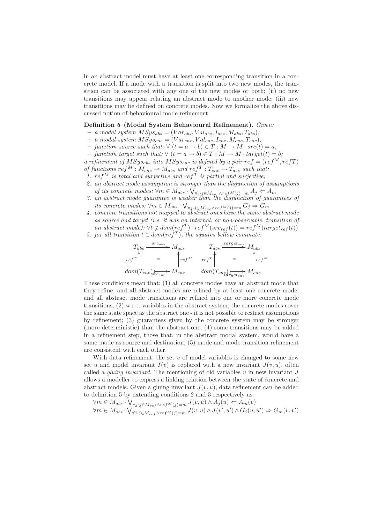in an abstract model must have at least one corresponding transition in a concrete model. If a mode with a transition is split into two new modes, the transition can be associated with any one of the new modes or both; (ii) no new transitions may appear relating an abstract mode to another mode; (iii) new transitions may be defined on concrete modes. Now we formalize the above discussed notion of behavioural mode refinement.

#### Definition 5 (Modal System Behavioural Refinement). Given:

- a modal system  $MSys_{abs} = (Var_{abs}, Val_{abs}, I_{abs}, M_{abs}, T_{abs});$
- $a$  modal system  $MSys_{cnc} = (Var_{cnc},Val_{cnc},I_{cnc},M_{cnc},T_{cnc})$ ;
- function source such that: ∀  $(t = a \rightarrow b) \in T : M \rightarrow M \cdot src(t) = a;$
- function target such that: ∀  $(t = a \rightarrow b) \in T : M \rightarrow M \cdot target(t) = b;$

a refinement of  $MSys_{abs}$  into  $MSys_{enc}$  is defined by a pair  $ref = (ref^M, refT)$ of functions  $ref^M : M_{cnc} \to M_{abs}$  and  $ref^T : T_{cnc} \to T_{abs}$  such that:

- 1.  $ref^M$  is total and surjective and  $ref^T$  is partial and surjective;
- 2. an abstract mode assumption is stronger than the disjunction of assumptions of its concrete modes:  $\forall m \in M_{abs} \cdot \bigvee_{\forall j \cdot j \in M_{cnc} \land ref^M(j)=m} A_j \Leftarrow A_m$
- 3. an abstract mode guarantee is weaker than the disjunction of guarantees of its concrete modes:  $\forall m \in M_{abs} \cdot \bigvee_{\forall j \cdot j \in M_{cnc} \wedge ref^M(j) = m} G_j \Rightarrow G_m$
- 4. concrete transitions not mapped to abstract ones have the same abstract mode as source and target (i.e. it was an internal, or non-observable, transition of an abstract mode):  $\forall t \notin dom(ref^T) \cdot ref^M(src_{ref}(t)) = ref^M(target_{ref}(t))$
- 5. for all transition  $t \in dom(ref^T)$ , the squares bellow commute:

$$
T_{abs} \xrightarrow{\text{src}_{abs}} M_{abs}
$$
\n
$$
T_{abs} \xrightarrow{\text{target}_{abs}} M_{abs}
$$
\n
$$
r_{eff} \uparrow \qquad \qquad \text{ref}^{\text{T}} \qquad \qquad \text{ref}^{\text{tr}} \uparrow \qquad \qquad \text{ref}^{\text{tr}} \uparrow \qquad \qquad \text{ref}^{\text{M}}
$$
\n
$$
dom(T_{cnc})_{s\mid_{c_{cnc}}} \xrightarrow{\text{iter}} M_{cnc}
$$
\n
$$
dom(T_{cnc})_{s\mid_{c_{cnc}}} \xrightarrow{\text{dom}(T_{cnc})_{s\mid_{c_{cnc}}} M_{cnc}
$$

These conditions mean that: (1) all concrete modes have an abstract mode that they refine, and all abstract modes are refined by at least one concrete mode; and all abstract mode transitions are refined into one or more concrete mode transitions; (2) w.r.t. variables in the abstract system, the concrete modes cover the same state space as the abstract one - it is not possible to restrict assumptions by refinement; (3) guarantees given by the concrete system may be stronger (more deterministic) than the abstract one; (4) some transitions may be added in a refinement step, those that, in the abstract modal system, would have a same mode as source and destination; (5) mode and mode transition refinement are consistent with each other.

With data refinement, the set  $v$  of model variables is changed to some new set u and model invariant  $I(v)$  is replaced with a new invariant  $J(v, u)$ , often called a *gluing invariant*. The mentioning of old variables  $v$  in new invariant  $J$ allows a modeller to express a linking relation between the state of concrete and abstract models. Given a gluing invariant  $J(v, u)$ , data refinement can be added to definition 5 by extending conditions 2 and 3 respectively as:

$$
\forall m \in M_{abs} \cdot \bigvee_{\forall j \cdot j \in M_{ref} \land ref^M(j) = m} J(v, u) \land A_j(u) \Leftarrow A_m(v)
$$
  

$$
\forall m \in M_{abs} \cdot \bigvee_{\forall j \cdot j \in M_{ref} \land ref^M(j) = m} J(v, u) \land J(v', u') \land G_j(u, u') \Rightarrow G_m(v, v')
$$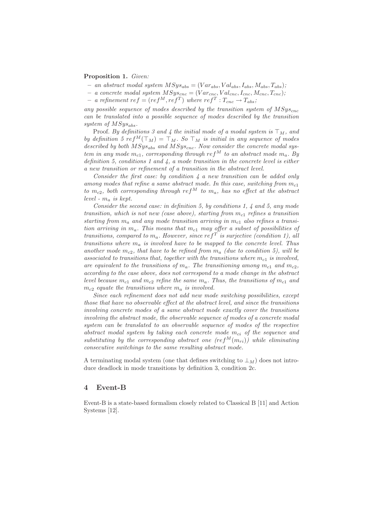#### Proposition 1. Given:

- an abstract modal system  $MSys_{abs} = (Var_{abs}, Val_{abs}, I_{abs}, M_{abs}, T_{abs});$
- a concrete modal system  $MSys_{cnc} = (Var_{cnc},Val_{cnc},I_{cnc},M_{cnc},T_{cnc})$ ;
- $-$  a refinement  $ref = (ref^M, ref^T)$  where  $ref^T : T_{cnc} \rightarrow T_{abs};$

any possible sequence of modes described by the transition system of  $MSys_{cnc}$ can be translated into a possible sequence of modes described by the transition system of  $MSys_{abs}$ .

Proof. By definitions 3 and 4 the initial mode of a modal system is  $\top_M$ , and by definition 5 ref<sup>M</sup>( $\top_M$ ) =  $\top_M$ . So  $\top_M$  is initial in any sequence of modes described by both  $MSys_{abs}$  and  $MSys_{cnc}$ . Now consider the concrete modal system in any mode  $m_{c1}$ , corresponding through ref<sup>M</sup> to an abstract mode  $m_a$ . By definition 5, conditions 1 and 4, a mode transition in the concrete level is either a new transition or refinement of a transition in the abstract level.

Consider the first case: by condition  $\lambda$  a new transition can be added only among modes that refine a same abstract mode. In this case, switching from  $m_{c1}$ to  $m_{c2}$ , both corresponding through ref<sup>M</sup> to  $m_a$ , has no effect at the abstract level -  $m_a$  is kept.

Consider the second case: in definition 5, by conditions 1, 4 and 5, any mode transition, which is not new (case above), starting from  $m_{c1}$  refines a transition starting from  $m_a$  and any mode transition arriving in  $m_{c1}$  also refines a transition arriving in  $m_a$ . This means that  $m_{c1}$  may offer a subset of possibilities of transitions, compared to  $m_a$ . However, since ref<sup>T</sup> is surjective (condition 1), all transitions where  $m_a$  is involved have to be mapped to the concrete level. Thus another mode  $m_{c2}$ , that have to be refined from  $m_a$  (due to condition 5), will be associated to transitions that, together with the transitions where  $m_{c1}$  is involved, are equivalent to the transitions of  $m_a$ . The transitioning among  $m_{c1}$  and  $m_{c2}$ , according to the case above, does not correspond to a mode change in the abstract level because  $m_{c1}$  and  $m_{c2}$  refine the same  $m_a$ . Thus, the transitions of  $m_{c1}$  and  $m_{c2}$  equate the transitions where  $m_a$  is involved.

Since each refinement does not add new mode switching possibilities, except those that have no observable effect at the abstract level, and since the transitions involving concrete modes of a same abstract mode exactly cover the transitions involving the abstract mode, the observable sequence of modes of a concrete modal system can be translated to an observable sequence of modes of the respective abstract modal system by taking each concrete mode  $m_{ci}$  of the sequence and substituting by the corresponding abstract one  $(ref^{M}(m_{ri}))$  while eliminating consecutive switchings to the same resulting abstract mode.

A terminating modal system (one that defines switching to  $\perp_M$ ) does not introduce deadlock in mode transitions by definition 3, condition 2c.

### 4 Event-B

Event-B is a state-based formalism closely related to Classical B [11] and Action Systems [12].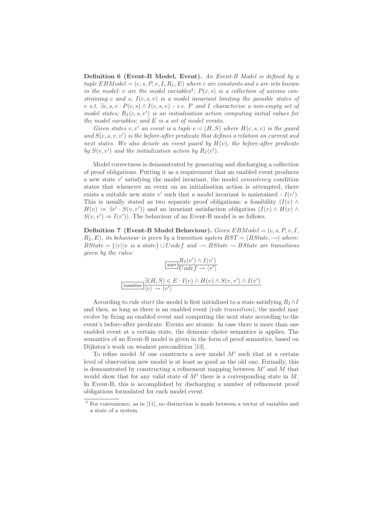Definition 6 (Event-B Model, Event). An Event-B Model is defined by a tuple  $EBModel = (c, s, P, v, I, R_I, E)$  where c are constants and s are sets known in the model; v are the model variables<sup>4</sup>;  $P(c, s)$  is a collection of axioms constraining c and s;  $I(c, s, v)$  is a model invariant limiting the possible states of v s.t.  $\exists c, s, v \cdot P(c, s) \wedge I(c, s, v)$  - i.e. P and I characterise a non-empty set of model states;  $R_I(c, s, v')$  is an initialisation action computing initial values for the model variables; and  $E$  is a set of model events.

Given states v, v' an event is a tuple  $e = (H, S)$  where  $H(c, s, v)$  is the guard and  $S(c, s, v, v')$  is the before-after predicate that defines a relation on current and next states. We also denote an event guard by  $H(v)$ , the before-after predicate by  $S(v, v')$  and the initialization action by  $R_I(v')$ .

Model correctness is demonstrated by generating and discharging a collection of proof obligations. Putting it as a requirement that an enabled event produces a new state v' satisfying the model invariant, the model *consistency* condition states that whenever an event on an initialisation action is attempted, there exists a suitable new state  $v'$  such that a model invariant is maintained -  $I(v')$ . This is usually stated as two separate proof obligations: a feasibility  $(I(v) \wedge$  $H(v) \Rightarrow \exists v' \cdot S(v, v'))$  and an invariant satisfaction obligation  $(I(v) \wedge H(v) \wedge$  $S(v, v') \Rightarrow I(v')$ . The behaviour of an Event-B model is as follows.

**Definition 7 (Event-B Model Behaviour).** Given  $EBModel = (c, s, P, v, I, I)$  $R_I, E$ , its behaviour is given by a transition system  $BST = (BState, \rightarrow)$  where:  $BState = \{\langle v \rangle | v \text{ is a state}\} \cup Under \text{ and } \rightarrow: BState \rightarrow BState \text{ are transitions}$ given by the rules:

$$
\frac{R_I(v') \wedge I(v')}{U n d e f \rightarrow \langle v' \rangle}
$$
\n
$$
\boxed{\text{transition}}
$$
\n
$$
\frac{\exists (H, S) \in E \cdot I(v) \wedge H(v) \wedge S(v, v') \wedge I(v')}{\langle v \rangle \rightarrow \langle v' \rangle}
$$

According to rule *start* the model is first initialized to a state satisfying  $R_I \wedge I$ and then, as long as there is an enabled event (rule *transition*), the model may evolve by firing an enabled event and computing the next state according to the event's before-after predicate. Events are atomic. In case there is more than one enabled event at a certain state, the demonic choice semantics is applies. The semantics of an Event-B model is given in the form of proof semantics, based on Dijkstra's work on weakest precondition [13].

To refine model  $M$  one constructs a new model  $M'$  such that at a certain level of observation new model is at least as good as the old one. Formally, this is demonstrated by constructing a refinement mapping between  $M'$  and  $M$  that would show that for any valid state of  $M'$  there is a corresponding state in  $M$ . In Event-B, this is accomplished by discharging a number of refinement proof obligations formulated for each model event.

<sup>4</sup> For convenience, as in [11], no distinction is made between a vector of variables and a state of a system.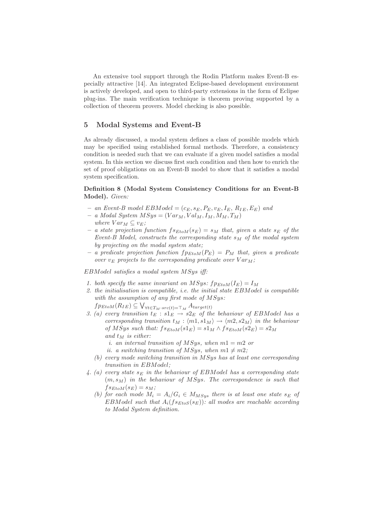An extensive tool support through the Rodin Platform makes Event-B especially attractive [14]. An integrated Eclipse-based development environment is actively developed, and open to third-party extensions in the form of Eclipse plug-ins. The main verification technique is theorem proving supported by a collection of theorem provers. Model checking is also possible.

## 5 Modal Systems and Event-B

As already discussed, a modal system defines a class of possible models which may be specified using established formal methods. Therefore, a consistency condition is needed such that we can evaluate if a given model satisfies a modal system. In this section we discuss first such condition and then how to enrich the set of proof obligations on an Event-B model to show that it satisfies a modal system specification.

### Definition 8 (Modal System Consistency Conditions for an Event-B Model). Given:

- an Event-B model  $EBModel = (c_E, s_E, P_E, v_E, I_E, R_{IE}, E_E)$  and
- $a$  Modal System  $MSys = (Var_M, Val_M, I_M, M_M, T_M)$ where  $Var_M \subseteq v_E$ ;
- a state projection function  $f_{SEt}(\mathcal{S}_E) = \mathcal{S}_M$  that, given a state  $\mathcal{S}_E$  of the Event-B Model, constructs the corresponding state  $s_M$  of the modal system by projecting on the modal system state;
- a predicate projection function  $fp_{EtOM}(P_E) = P_M$  that, given a predicate over  $v_E$  projects to the corresponding predicate over  $Var_M$ ;

EBModel satisfies a modal system MSys iff:

- 1. both specify the same invariant on MSys:  $fp_{EtoM}(I_E) = I_M$
- 2. the initialisation is compatible, i.e. the initial state EBModel is compatible with the assumption of any first mode of MSys:
	- $fp_{Etom}(R_{IE}) \subseteq \bigvee_{\forall t \in T_M \cdot src(t) = \top_M} A_{target(t)}$
- 3. (a) every transition  $t_E : s1_E \rightarrow s2_E$  of the behaviour of EBModel has a corresponding transition  $t_M : \langle m1, s1_M \rangle \rightarrow \langle m2, s2_M \rangle$  in the behaviour of MSys such that:  $fs_{EtoM}(s1_E) = s1_M \wedge fs_{EtoM}(s2_E) = s2_M$ and  $t_M$  is either:
	- i. an internal transition of MSys, when  $m1 = m2$  or
	- ii. a switching transition of MSys, when  $m1 \neq m2$ ;
	- (b) every mode switching transition in MSys has at least one corresponding transition in EBModel;
- 4. (a) every state  $s_E$  in the behaviour of EBModel has a corresponding state  $(m, s<sub>M</sub>)$  in the behaviour of MSys. The correspondence is such that  $fs_{EtoM}(s_E) = s_M;$ 
	- (b) for each mode  $M_i = A_i/G_i \in M_{MSys}$  there is at least one state  $s_E$  of EBModel such that  $A_i(f_{\mathcal{S}_{E}}(s_E))$ : all modes are reachable according to Modal System definition.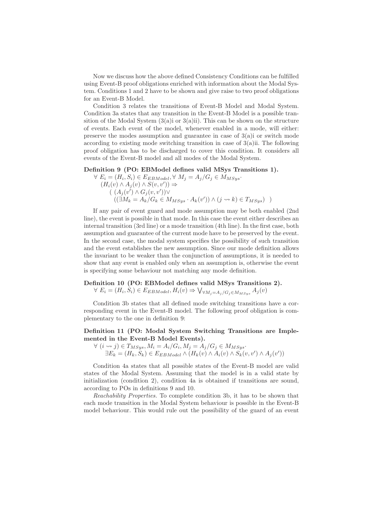Now we discuss how the above defined Consistency Conditions can be fulfilled using Event-B proof obligations enriched with information about the Modal System. Conditions 1 and 2 have to be shown and give raise to two proof obligations for an Event-B Model.

Condition 3 relates the transitions of Event-B Model and Modal System. Condition 3a states that any transition in the Event-B Model is a possible transition of the Modal System  $(3(a)i)$  or  $(3(a)ii)$ . This can be shown on the structure of events. Each event of the model, whenever enabled in a mode, will either: preserve the modes assumption and guarantee in case of  $3(a)$  or switch mode according to existing mode switching transition in case of  $3(a)$ ii. The following proof obligation has to be discharged to cover this condition. It considers all events of the Event-B model and all modes of the Modal System.

#### Definition 9 (PO: EBModel defines valid MSys Transitions 1).

$$
\forall E_i = (H_i, S_i) \in E_{EBModel}, \forall M_j = A_j / G_j \in M_{MSys}.
$$
  
\n
$$
(H_i(v) \land A_j(v) \land S(v, v')) \Rightarrow
$$
  
\n
$$
((A_j(v') \land G_j(v, v')) \lor
$$
  
\n
$$
((\exists M_k = A_k / G_k \in M_{MSys} \cdot A_k(v')) \land (j \rightsquigarrow k) \in T_{MSys}) )
$$

If any pair of event guard and mode assumption may be both enabled (2nd line), the event is possible in that mode. In this case the event either describes an internal transition (3rd line) or a mode transition (4th line). In the first case, both assumption and guarantee of the current mode have to be preserved by the event. In the second case, the modal system specifies the possibility of such transition and the event establishes the new assumption. Since our mode definition allows the invariant to be weaker than the conjunction of assumptions, it is needed to show that any event is enabled only when an assumption is, otherwise the event is specifying some behaviour not matching any mode definition.

# Definition 10 (PO: EBModel defines valid MSys Transitions 2).  $\forall E_i = (H_i, S_i) \in E_{EBModel}, H_i(v) \Rightarrow \bigvee_{\forall M_j = A_j/G_j \in M_{MSys}} A_j(v)$

Condition 3b states that all defined mode switching transitions have a cor-

responding event in the Event-B model. The following proof obligation is complementary to the one in definition 9:

### Definition 11 (PO: Modal System Switching Transitions are Implemented in the Event-B Model Events).

 $\forall (i \leadsto j) \in T_{MSys}, M_i = A_i/G_i, M_j = A_j/G_j \in M_{MSys}.$  $\exists E_k = (H_k, S_k) \in E_{EBModel} \land (H_k(v) \land A_i(v) \land S_k(v, v') \land A_j(v'))$ 

Condition 4a states that all possible states of the Event-B model are valid states of the Modal System. Assuming that the model is in a valid state by initialization (condition 2), condition 4a is obtained if transitions are sound, according to POs in definitions 9 and 10.

Reachability Properties. To complete condition 3b, it has to be shown that each mode transition in the Modal System behaviour is possible in the Event-B model behaviour. This would rule out the possibility of the guard of an event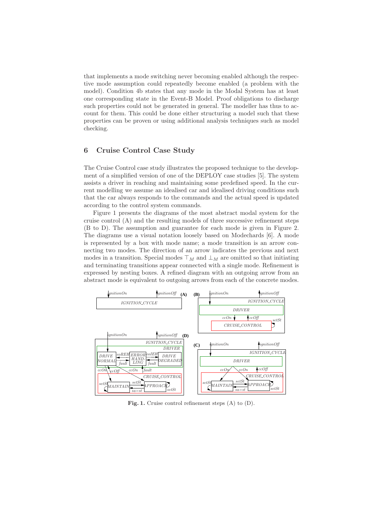that implements a mode switching never becoming enabled although the respective mode assumption could repeatedly become enabled (a problem with the model). Condition 4b states that any mode in the Modal System has at least one corresponding state in the Event-B Model. Proof obligations to discharge such properties could not be generated in general. The modeller has thus to account for them. This could be done either structuring a model such that these properties can be proven or using additional analysis techniques such as model checking.

# 6 Cruise Control Case Study

The Cruise Control case study illustrates the proposed technique to the development of a simplified version of one of the DEPLOY case studies [5]. The system assists a driver in reaching and maintaining some predefined speed. In the current modelling we assume an idealised car and idealised driving conditions such that the car always responds to the commands and the actual speed is updated according to the control system commands.

Figure 1 presents the diagrams of the most abstract modal system for the cruise control (A) and the resulting models of three successive refinement steps (B to D). The assumption and guarantee for each mode is given in Figure 2. The diagrams use a visual notation loosely based on Modechards [6]. A mode is represented by a box with mode name; a mode transition is an arrow connecting two modes. The direction of an arrow indicates the previous and next modes in a transition. Special modes  $\top_M$  and  $\bot_M$  are omitted so that initiating and terminating transitions appear connected with a single mode. Refinement is expressed by nesting boxes. A refined diagram with an outgoing arrow from an abstract mode is equivalent to outgoing arrows from each of the concrete modes.



Fig. 1. Cruise control refinement steps (A) to (D).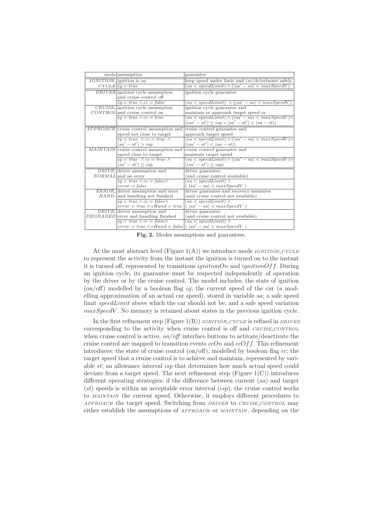| mode assumption                                                | guarantee                                                 |
|----------------------------------------------------------------|-----------------------------------------------------------|
| <i>IGNITION</i> -lignition is on                               | keep speed under limit and (ac/de)celarate safely         |
| $CYCLE$ $iq = true$                                            | $(sa < speedLimit) \wedge (sa' - sa) < maxSpeedV)$        |
| <i>DRIVER</i> ignition cycle assumption                        | ignition cycle guarantee                                  |
| and cruise control off                                         |                                                           |
| $ig = true \wedge cc = false$                                  | $(sa < speedLimit) \wedge (sa' - sa) < maxSpeedV)$        |
| $CRUISE$ ignition cycle assumption                             | ignition cycle guarantee and                              |
| $CONTROL$ and cruise control on                                | maintain or approach target speed or                      |
| $iq = true \wedge cc = true$                                   | $(sa < speedLimit) \wedge (sa' - sa) < maxSpeedV) \wedge$ |
|                                                                | $( sa' - st'  \leq isp \vee  sa' - st'  <  sa - st )$     |
| $APPROACH$ cruise control assumption and                       | cruise control guarantee and                              |
| speed not close to target                                      | approach target speed                                     |
| $iq = true \wedge cc = true \wedge$                            | $(sa < speedLimit) \wedge (sa' - sa) < maxSpeedV) \wedge$ |
| $ sa' - st'  > isp$                                            | $( sa' - st'  <  sa - st )$                               |
| MAINTAIN cruise control assumption and                         | cruise control guarantee and                              |
| speed close to target                                          | maintain target speed                                     |
| $iq = true \wedge cc = true \wedge$                            | $(sa < speedLimit) \wedge (sa' - sa) < maxSpeedV) \wedge$ |
| $ sa' - st'  \leq isp$                                         | $( sa'-st'  \leq isp)$                                    |
| $DRIVE$ -driver assumption and                                 | driver guarantee                                          |
| <i>NORMAL</i> and no error                                     | (and cruise control available)                            |
| $ig = true \wedge cc = false \wedge$                           | $(sa < speedLimit) \wedge$                                |
| $error = false$                                                | $( sa'-sa  < maxSpeedV)$                                  |
| ERROR_driver assumption and error                              | driver guarantee and recovery measures                    |
| HAND- and handling not finished                                | (and cruise control not available)                        |
| $iq = true \wedge cc = false \wedge$                           | $(sa < speedLimit) \wedge$                                |
| $error = true \wedge eHand = true$                             | $( sa' - sa  < maxSpeedV)$                                |
| $DRIVE$ -driver assumption and                                 | driver guarantee                                          |
| DEGRADED error and handling finished                           | (and cruise control not available)                        |
| $ig = true \wedge cc = false \wedge$                           | $(sa < speedLimit) \wedge$                                |
| $error = true \wedge eHand = false   ( sa' - sa  < maxSpeedV)$ |                                                           |

Fig. 2. Modes assumptions and guarantees.

At the most abstract level (Figure  $1(A)$ ) we introduce mode *IGNITION CYCLE* to represent the activity from the instant the ignition is turned on to the instant it is turned off, represented by transitions *ignitionOn* and *ignitionOff*. During an ignition cycle, its guarantee must be respected independently of operation by the driver or by the cruise control. The model includes: the state of ignition  $($ on/off) modelled by a boolean flag ig; the current speed of the car (a modelling approximation of an actual car speed), stored in variable sa; a safe speed limit speedLimit above which the car should not be; and a safe speed variation  $maxSpeedV$ . No memory is retained about states in the previous ignition cycle.

In the first refinement step (Figure 1(B)) *IGNITION\_CYCLE* is refined in *DRIVER* corresponding to the activity when cruise control is off and CRUISE CONTROL when cruise control is active.  $\frac{on}{off}$  interface buttons to activate/deactivate the cruise control are mapped to transition events  $ccOn$  and  $ccOff$ . This refinement introduces: the state of cruise control  $(\text{on}/\text{off})$ , modelled by boolean flag cc; the target speed that a cruise control is to achieve and maintain, represented by variable st; an allowance interval isp that determines how much actual speed could deviate from a target speed. The next refinement step (Figure  $1(C)$ ) introduces different operating strategies: if the difference between current  $(sa)$  and target  $(st)$  speeds is within an acceptable error interval  $(isp)$ , the cruise control works to MAINTAIN the current speed. Otherwise, it employs different procedures to APPROACH the target speed. Switching from DRIVER to CRUISE CONTROL may either establish the assumptions of APPROACH or MAINTAIN , depending on the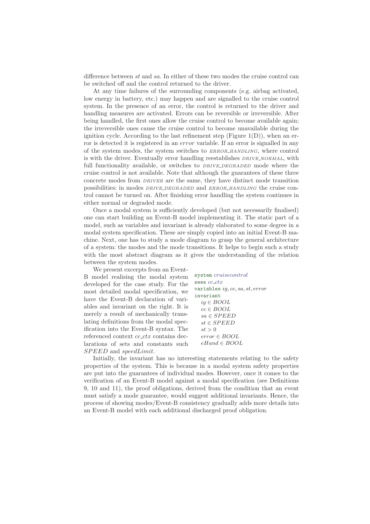difference between st and sa. In either of these two modes the cruise control can be switched off and the control returned to the driver.

At any time failures of the surrounding components (e.g. airbag activated, low energy in battery, etc.) may happen and are signalled to the cruise control system. In the presence of an error, the control is returned to the driver and handling measures are activated. Errors can be reversible or irreversible. After being handled, the first ones allow the cruise control to become available again; the irreversible ones cause the cruise control to become unavailable during the ignition cycle. According to the last refinement step (Figure  $1(D)$ ), when an error is detected it is registered in an *error* variable. If an error is signalled in any of the system modes, the system switches to ERROR HANDLING, where control is with the driver. Eventually error handling reestablishes  $DRIVE<sub>N</sub>ONMAL$ , with full functionality available, or switches to *DRIVE\_DEGRADED* mode where the cruise control is not available. Note that although the guarantees of these three concrete modes from DRIVER are the same, they have distinct mode transition possibilities: in modes DRIVE DEGRADED and ERROR HANDLING the cruise control cannot be turned on. After finishing error handling the system continues in either normal or degraded mode.

Once a modal system is sufficiently developed (but not necessarily finalised) one can start building an Event-B model implementing it. The static part of a model, such as variables and invariant is already elaborated to some degree in a modal system specification. These are simply copied into an initial Event-B machine. Next, one has to study a mode diagram to grasp the general architecture of a system: the modes and the mode transitions. It helps to begin such a study with the most abstract diagram as it gives the understanding of the relation between the system modes.

We present excerpts from an Event-B model realising the modal system developed for the case study. For the most detailed modal specification, we have the Event-B declaration of variables and invariant on the right. It is merely a result of mechanically translating definitions from the modal specification into the Event-B syntax. The referenced context  $cc\_ctx$  contains declarations of sets and constants such SPEED and speedLimit.

system cruisecontrol sees *cc ctx* variables ig, cc, sa, st, error invariant ig ∈ BOOL  $cc \in BOOL$  $sa \in SPEED$  $st \in SPEED$  $st > 0$ error ∈ BOOL eHand ∈ BOOL

Initially, the invariant has no interesting statements relating to the safety properties of the system. This is because in a modal system safety properties are put into the guarantees of individual modes. However, once it comes to the verification of an Event-B model against a modal specification (see Definitions 9, 10 and 11), the proof obligations, derived from the condition that an event must satisfy a mode guarantee, would suggest additional invariants. Hence, the process of showing modes/Event-B consistency gradually adds more details into an Event-B model with each additional discharged proof obligation.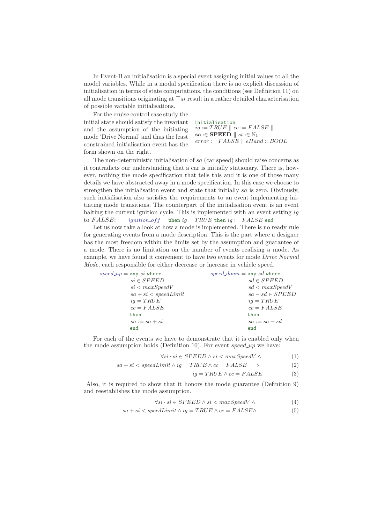In Event-B an initialisation is a special event assigning initial values to all the model variables. While in a modal specification there is no explicit discussion of initialisation in terms of state computations, the conditions (see Definition 11) on all mode transitions originating at  $\top_M$  result in a rather detailed characterisation of possible variable initialisations.

For the cruise control case study the initial state should satisfy the invariant and the assumption of the initiating mode 'Drive Normal' and thus the least constrained initialisation event has the form shown on the right.

initialisation  $iq := TRUE \parallel cc := FALSE \parallel$ sa : $\in$  SPEED  $\parallel$  st : $\in$  N<sub>1</sub>  $\parallel$  $error := FALSE \parallel eHand :: BOOL$ 

The non-deterministic initialisation of sa (car speed) should raise concerns as it contradicts our understanding that a car is initially stationary. There is, however, nothing the mode specification that tells this and it is one of those many details we have abstracted away in a mode specification. In this case we choose to strengthen the initialisation event and state that initially sa is zero. Obviously, such initialisation also satisfies the requirements to an event implementing initiating mode transitions. The counterpart of the initialisation event is an event halting the current ignition cycle. This is implemented with an event setting ig to  $FALSE:$  ignition of  $f =$  when  $iq = TRUE$  then  $iq := FALSE$  end

Let us now take a look at how a mode is implemented. There is no ready rule for generating events from a mode description. This is the part where a designer has the most freedom within the limits set by the assumption and guarantee of a mode. There is no limitation on the number of events realising a mode. As example, we have found it convenient to have two events for mode Drive Normal Mode, each responsible for either decrease or increase in vehicle speed.

| $speed\_up = \text{any } si \text{ where}$ | speed_down = any sd where |
|--------------------------------------------|---------------------------|
| $si \in SPEED$                             | $sd \in SPEED$            |
| si < maxSpeedV                             | $sd$ < $maxSpeedV$        |
| $sa+si < speedLimit$                       | $sa - sd \in SPEED$       |
| $iq = TRUE$                                | $iq = TRUE$               |
| $cc = FALSE$                               | $cc = FALSE$              |
| then                                       | then                      |
| $sa := sa + si$                            | $sa := sa - sd$           |
| end                                        | end                       |
|                                            |                           |

For each of the events we have to demonstrate that it is enabled only when the mode assumption holds (Definition 10). For event  $speed\_up$  we have:

$$
\forall si \cdot si \in SPEED \land si < maxSpeedV \land \tag{1}
$$

$$
sa + si < speedLimit \land ig = TRUE \land cc = FALSE \implies (2)
$$

$$
ig = TRUE \wedge cc = FALSE \tag{3}
$$

Also, it is required to show that it honors the mode guarantee (Definition 9) and reestablishes the mode assumption.

$$
\forall si \cdot si \in SPEED \land si < maxSpeedV \land \tag{4}
$$

$$
sa + si < speedLimit \land ig = TRUE \land cc = FALSE \land \tag{5}
$$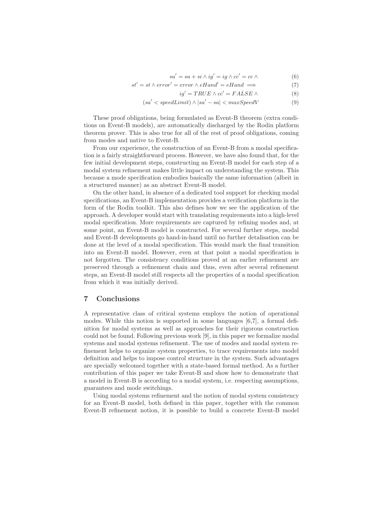$$
sa' = sa + si \wedge ig' = ig \wedge cc' = cc \wedge \tag{6}
$$

$$
st' = st \land error' = error \land eHand' = eHand \implies (7)
$$

$$
ig' = TRUE \wedge cc' = FALSE \wedge \tag{8}
$$

$$
(sa' < speedLimit) \land |sa' - sa| < maxSpeedV \tag{9}
$$

These proof obligations, being formulated as Event-B theorem (extra conditions on Event-B models), are automatically discharged by the Rodin platform theorem prover. This is also true for all of the rest of proof obligations, coming from modes and native to Event-B.

From our experience, the construction of an Event-B from a modal specification is a fairly straightforward process. However, we have also found that, for the few initial development steps, constructing an Event-B model for each step of a modal system refinement makes little impact on understanding the system. This because a mode specification embodies basically the same information (albeit in a structured manner) as an abstract Event-B model.

On the other hand, in absence of a dedicated tool support for checking modal specifications, an Event-B implementation provides a verification platform in the form of the Rodin toolkit. This also defines how we see the application of the approach. A developer would start with translating requirements into a high-level modal specification. More requirements are captured by refining modes and, at some point, an Event-B model is constructed. For several further steps, modal and Event-B developments go hand-in-hand until no further detalisation can be done at the level of a modal specification. This would mark the final transition into an Event-B model. However, even at that point a modal specification is not forgotten. The consistency conditions proved at an earlier refinement are preserved through a refinement chain and thus, even after several refinement steps, an Event-B model still respects all the properties of a modal specification from which it was initially derived.

# 7 Conclusions

A representative class of critical systems employs the notion of operational modes. While this notion is supported in some languages [6,7], a formal definition for modal systems as well as approaches for their rigorous construction could not be found. Following previous work [9], in this paper we formalize modal systems and modal systems refinement. The use of modes and modal system refinement helps to organize system properties, to trace requirements into model definition and helps to impose control structure in the system. Such advantages are specially welcomed together with a state-based formal method. As a further contribution of this paper we take Event-B and show how to demonstrate that a model in Event-B is according to a modal system, i.e. respecting assumptions, guarantees and mode switchings.

Using modal systems refinement and the notion of modal system consistency for an Event-B model, both defined in this paper, together with the common Event-B refinement notion, it is possible to build a concrete Event-B model